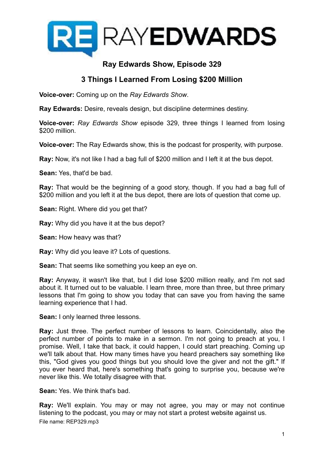

# **Ray Edwards Show, Episode 329**

## **3 Things I Learned From Losing \$200 Million**

**Voice-over:** Coming up on the *Ray Edwards Show*.

**Ray Edwards:** Desire, reveals design, but discipline determines destiny.

**Voice-over:** *Ray Edwards Show* episode 329, three things I learned from losing \$200 million.

**Voice-over:** The Ray Edwards show, this is the podcast for prosperity, with purpose.

**Ray:** Now, it's not like I had a bag full of \$200 million and I left it at the bus depot.

**Sean:** Yes, that'd be bad.

**Ray:** That would be the beginning of a good story, though. If you had a bag full of \$200 million and you left it at the bus depot, there are lots of question that come up.

**Sean:** Right. Where did you get that?

**Ray:** Why did you have it at the bus depot?

**Sean:** How heavy was that?

**Ray:** Why did you leave it? Lots of questions.

**Sean:** That seems like something you keep an eye on.

**Ray:** Anyway, it wasn't like that, but I did lose \$200 million really, and I'm not sad about it. It turned out to be valuable. I learn three, more than three, but three primary lessons that I'm going to show you today that can save you from having the same learning experience that I had.

**Sean:** I only learned three lessons.

**Ray:** Just three. The perfect number of lessons to learn. Coincidentally, also the perfect number of points to make in a sermon. I'm not going to preach at you, I promise. Well, I take that back, it could happen, I could start preaching. Coming up we'll talk about that. How many times have you heard preachers say something like this, "God gives you good things but you should love the giver and not the gift." If you ever heard that, here's something that's going to surprise you, because we're never like this. We totally disagree with that.

**Sean:** Yes. We think that's bad.

**Ray:** We'll explain. You may or may not agree, you may or may not continue listening to the podcast, you may or may not start a protest website against us. File name: REP329.mp3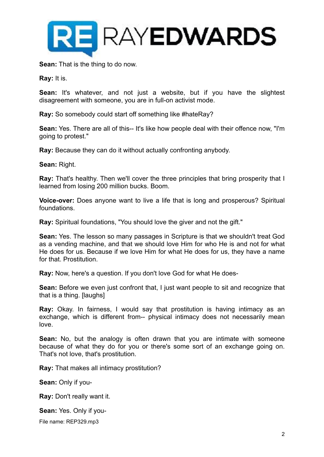

**Sean:** That is the thing to do now.

**Ray:** It is.

**Sean:** It's whatever, and not just a website, but if you have the slightest disagreement with someone, you are in full-on activist mode.

**Ray:** So somebody could start off something like #hateRay?

**Sean:** Yes. There are all of this-- It's like how people deal with their offence now, "I'm going to protest."

**Ray:** Because they can do it without actually confronting anybody.

**Sean:** Right.

**Ray:** That's healthy. Then we'll cover the three principles that bring prosperity that I learned from losing 200 million bucks. Boom.

**Voice-over:** Does anyone want to live a life that is long and prosperous? Spiritual foundations.

**Ray:** Spiritual foundations, "You should love the giver and not the gift."

**Sean:** Yes. The lesson so many passages in Scripture is that we shouldn't treat God as a vending machine, and that we should love Him for who He is and not for what He does for us. Because if we love Him for what He does for us, they have a name for that. Prostitution.

**Ray:** Now, here's a question. If you don't love God for what He does-

**Sean:** Before we even just confront that, I just want people to sit and recognize that that is a thing. [laughs]

**Ray:** Okay. In fairness, I would say that prostitution is having intimacy as an exchange, which is different from-- physical intimacy does not necessarily mean love.

**Sean:** No, but the analogy is often drawn that you are intimate with someone because of what they do for you or there's some sort of an exchange going on. That's not love, that's prostitution.

**Ray:** That makes all intimacy prostitution?

**Sean:** Only if you-

**Ray:** Don't really want it.

**Sean:** Yes. Only if you-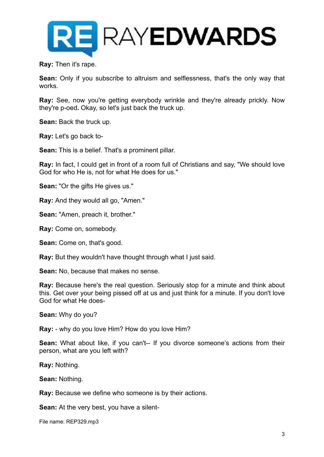

**Ray:** Then it's rape.

**Sean:** Only if you subscribe to altruism and selflessness, that's the only way that works.

**Ray:** See, now you're getting everybody wrinkle and they're already prickly. Now they're p-oed**.** Okay, so let's just back the truck up.

**Sean:** Back the truck up.

**Ray:** Let's go back to-

**Sean:** This is a belief. That's a prominent pillar.

**Ray:** In fact, I could get in front of a room full of Christians and say, "We should love God for who He is, not for what He does for us."

**Sean:** "Or the gifts He gives us."

**Ray:** And they would all go, "Amen."

**Sean:** "Amen, preach it, brother."

**Ray:** Come on, somebody.

**Sean:** Come on, that's good.

**Ray:** But they wouldn't have thought through what I just said.

**Sean:** No, because that makes no sense.

**Ray:** Because here's the real question. Seriously stop for a minute and think about this. Get over your being pissed off at us and just think for a minute. If you don't love God for what He does-

**Sean:** Why do you?

**Ray:** - why do you love Him? How do you love Him?

**Sean:** What about like, if you can't-- If you divorce someone's actions from their person, what are you left with?

**Ray:** Nothing.

**Sean:** Nothing.

**Ray:** Because we define who someone is by their actions.

**Sean:** At the very best, you have a silent-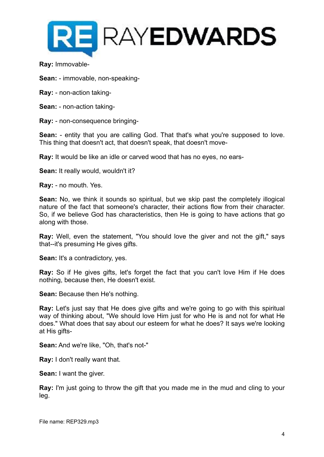

**Ray:** Immovable-

**Sean:** - immovable, non-speaking-

- **Ray:** non-action taking-
- **Sean:** non-action taking-

**Ray:** - non-consequence bringing-

**Sean:** - entity that you are calling God. That that's what you're supposed to love. This thing that doesn't act, that doesn't speak, that doesn't move-

**Ray:** It would be like an idle or carved wood that has no eyes, no ears-

**Sean:** It really would, wouldn't it?

**Ray:** - no mouth. Yes.

**Sean:** No, we think it sounds so spiritual, but we skip past the completely illogical nature of the fact that someone's character, their actions flow from their character. So, if we believe God has characteristics, then He is going to have actions that go along with those.

**Ray:** Well, even the statement, "You should love the giver and not the gift," says that--it's presuming He gives gifts.

**Sean:** It's a contradictory, yes.

**Ray:** So if He gives gifts, let's forget the fact that you can't love Him if He does nothing, because then, He doesn't exist.

**Sean:** Because then He's nothing.

**Ray:** Let's just say that He does give gifts and we're going to go with this spiritual way of thinking about, "We should love Him just for who He is and not for what He does." What does that say about our esteem for what he does? It says we're looking at His gifts-

**Sean:** And we're like, "Oh, that's not-"

**Ray:** I don't really want that.

**Sean:** I want the giver.

**Ray:** I'm just going to throw the gift that you made me in the mud and cling to your leg.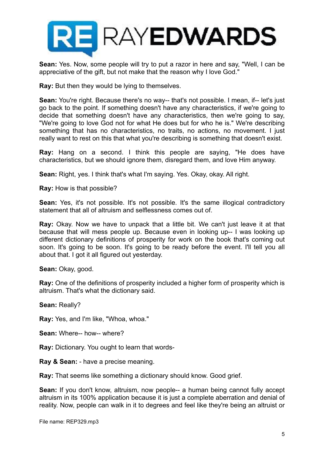

**Sean:** Yes. Now, some people will try to put a razor in here and say, "Well, I can be appreciative of the gift, but not make that the reason why I love God."

**Ray:** But then they would be lying to themselves.

**Sean:** You're right. Because there's no way-- that's not possible. I mean, if-- let's just go back to the point. If something doesn't have any characteristics, if we're going to decide that something doesn't have any characteristics, then we're going to say, "We're going to love God not for what He does but for who he is." We're describing something that has no characteristics, no traits, no actions, no movement. I just really want to rest on this that what you're describing is something that doesn't exist.

**Ray:** Hang on a second. I think this people are saying, "He does have characteristics, but we should ignore them, disregard them, and love Him anyway.

**Sean:** Right, yes. I think that's what I'm saying. Yes. Okay, okay. All right.

**Ray:** How is that possible?

**Sean:** Yes, it's not possible. It's not possible. It's the same illogical contradictory statement that all of altruism and selflessness comes out of.

**Ray:** Okay. Now we have to unpack that a little bit. We can't just leave it at that because that will mess people up. Because even in looking up-- I was looking up different dictionary definitions of prosperity for work on the book that's coming out soon. It's going to be soon. It's going to be ready before the event. I'll tell you all about that. I got it all figured out yesterday.

**Sean:** Okay, good.

**Ray:** One of the definitions of prosperity included a higher form of prosperity which is altruism. That's what the dictionary said.

**Sean:** Really?

**Ray:** Yes, and I'm like, "Whoa, whoa."

**Sean:** Where-- how-- where?

**Ray:** Dictionary. You ought to learn that words-

**Ray & Sean:** - have a precise meaning.

**Ray:** That seems like something a dictionary should know. Good grief.

**Sean:** If you don't know, altruism, now people-- a human being cannot fully accept altruism in its 100% application because it is just a complete aberration and denial of reality. Now, people can walk in it to degrees and feel like they're being an altruist or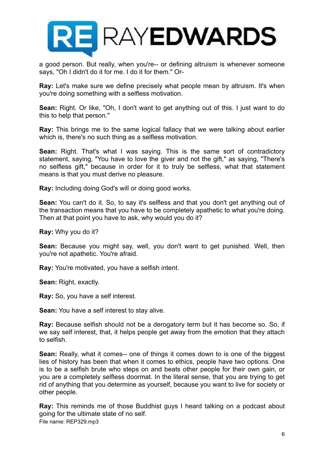

a good person. But really, when you're-- or defining altruism is whenever someone says, "Oh I didn't do it for me. I do it for them." Or-

**Ray:** Let's make sure we define precisely what people mean by altruism. It's when you're doing something with a selfless motivation.

**Sean:** Right. Or like, "Oh, I don't want to get anything out of this. I just want to do this to help that person."

**Ray:** This brings me to the same logical fallacy that we were talking about earlier which is, there's no such thing as a selfless motivation.

**Sean:** Right. That's what I was saying. This is the same sort of contradictory statement, saying, "You have to love the giver and not the gift," as saying, "There's no selfless gift," because in order for it to truly be selfless, what that statement means is that you must derive no pleasure.

**Ray:** Including doing God's will or doing good works.

**Sean:** You can't do it. So, to say it's selfless and that you don't get anything out of the transaction means that you have to be completely apathetic to what you're doing. Then at that point you have to ask, why would you do it?

**Ray:** Why you do it?

**Sean:** Because you might say, well, you don't want to get punished. Well, then you're not apathetic. You're afraid.

**Ray:** You're motivated, you have a selfish intent.

**Sean:** Right, exactly.

**Ray:** So, you have a self interest.

**Sean:** You have a self interest to stay alive.

**Ray:** Because selfish should not be a derogatory term but it has become so. So, if we say self interest, that, it helps people get away from the emotion that they attach to selfish.

**Sean:** Really, what it comes-- one of things it comes down to is one of the biggest lies of history has been that when it comes to ethics, people have two options. One is to be a selfish brute who steps on and beats other people for their own gain, or you are a completely selfless doormat. In the literal sense, that you are trying to get rid of anything that you determine as yourself, because you want to live for society or other people.

**Ray:** This reminds me of those Buddhist guys I heard talking on a podcast about going for the ultimate state of no self. File name: REP329.mp3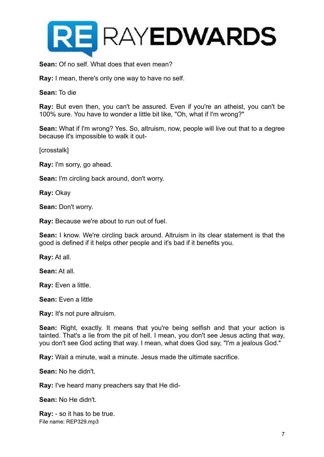

**Sean:** Of no self. What does that even mean?

**Ray:** I mean, there's only one way to have no self.

**Sean:** To die

**Ray:** But even then, you can't be assured. Even if you're an atheist, you can't be 100% sure. You have to wonder a little bit like, "Oh, what if I'm wrong?"

**Sean:** What if I'm wrong? Yes. So, altruism, now, people will live out that to a degree because it's impossible to walk it out-

[crosstalk]

**Ray:** I'm sorry, go ahead.

**Sean:** I'm circling back around, don't worry.

**Ray:** Okay

**Sean:** Don't worry.

**Ray:** Because we're about to run out of fuel.

**Sean:** I know. We're circling back around. Altruism in its clear statement is that the good is defined if it helps other people and it's bad if it benefits you.

**Ray:** At all.

**Sean:** At all.

**Ray:** Even a little.

**Sean:** Even a little

**Ray:** It's not pure altruism.

**Sean:** Right, exactly. It means that you're being selfish and that your action is tainted. That's a lie from the pit of hell. I mean, you don't see Jesus acting that way, you don't see God acting that way. I mean, what does God say, "I'm a jealous God."

**Ray:** Wait a minute, wait a minute. Jesus made the ultimate sacrifice.

**Sean:** No he didn't.

**Ray:** I've heard many preachers say that He did-

**Sean:** No He didn't.

**Ray:** - so it has to be true. File name: REP329.mp3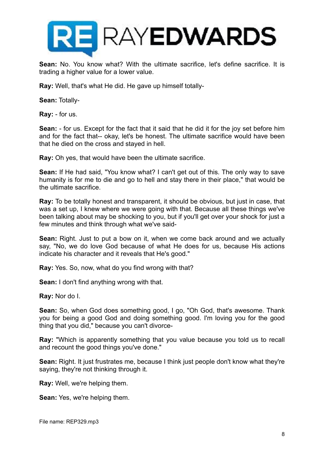

**Sean:** No. You know what? With the ultimate sacrifice, let's define sacrifice. It is trading a higher value for a lower value.

**Ray:** Well, that's what He did. He gave up himself totally-

**Sean:** Totally-

**Ray:** - for us.

**Sean:** - for us. Except for the fact that it said that he did it for the joy set before him and for the fact that-- okay, let's be honest. The ultimate sacrifice would have been that he died on the cross and stayed in hell.

**Ray:** Oh yes, that would have been the ultimate sacrifice.

**Sean:** If He had said, "You know what? I can't get out of this. The only way to save humanity is for me to die and go to hell and stay there in their place," that would be the ultimate sacrifice.

**Ray:** To be totally honest and transparent, it should be obvious, but just in case, that was a set up, I knew where we were going with that. Because all these things we've been talking about may be shocking to you, but if you'll get over your shock for just a few minutes and think through what we've said-

**Sean:** Right. Just to put a bow on it, when we come back around and we actually say, "No, we do love God because of what He does for us, because His actions indicate his character and it reveals that He's good."

**Ray:** Yes. So, now, what do you find wrong with that?

**Sean:** I don't find anything wrong with that.

**Ray:** Nor do I.

**Sean:** So, when God does something good, I go, "Oh God, that's awesome. Thank you for being a good God and doing something good. I'm loving you for the good thing that you did," because you can't divorce-

**Ray:** "Which is apparently something that you value because you told us to recall and recount the good things you've done."

**Sean:** Right. It just frustrates me, because I think just people don't know what they're saying, they're not thinking through it.

**Ray:** Well, we're helping them.

**Sean:** Yes, we're helping them.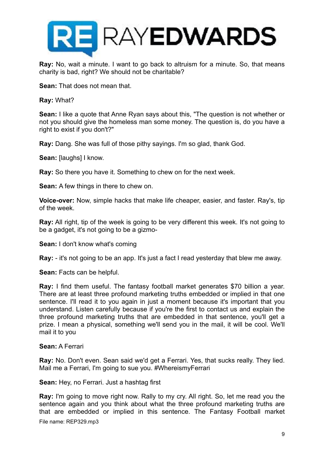

**Ray:** No, wait a minute. I want to go back to altruism for a minute. So, that means charity is bad, right? We should not be charitable?

**Sean:** That does not mean that.

**Ray:** What?

**Sean:** I like a quote that Anne Ryan says about this, "The question is not whether or not you should give the homeless man some money. The question is, do you have a right to exist if you don't?"

**Ray:** Dang. She was full of those pithy sayings. I'm so glad, thank God.

**Sean:** [laughs] I know.

**Ray:** So there you have it. Something to chew on for the next week.

**Sean:** A few things in there to chew on.

**Voice-over:** Now, simple hacks that make life cheaper, easier, and faster. Ray's, tip of the week.

**Ray:** All right, tip of the week is going to be very different this week. It's not going to be a gadget, it's not going to be a gizmo-

**Sean:** I don't know what's coming

**Ray:** - it's not going to be an app. It's just a fact I read yesterday that blew me away.

**Sean:** Facts can be helpful.

**Ray:** I find them useful. The fantasy football market generates \$70 billion a year. There are at least three profound marketing truths embedded or implied in that one sentence. I'll read it to you again in just a moment because it's important that you understand. Listen carefully because if you're the first to contact us and explain the three profound marketing truths that are embedded in that sentence, you'll get a prize. I mean a physical, something we'll send you in the mail, it will be cool. We'll mail it to you

#### **Sean:** A Ferrari

**Ray:** No. Don't even. Sean said we'd get a Ferrari. Yes, that sucks really. They lied. Mail me a Ferrari, I'm going to sue you. #WhereismyFerrari

**Sean:** Hey, no Ferrari. Just a hashtag first

**Ray:** I'm going to move right now. Rally to my cry. All right. So, let me read you the sentence again and you think about what the three profound marketing truths are that are embedded or implied in this sentence. The Fantasy Football market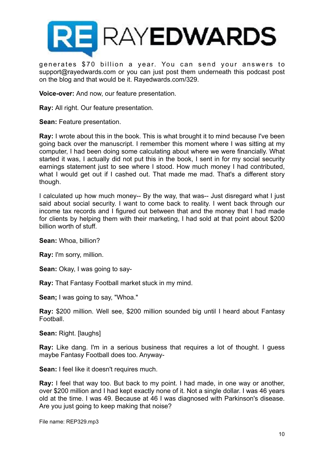

generates \$70 billion a year. You can send your answers to support@rayedwards.com or you can just post them underneath this podcast post on the blog and that would be it. Rayedwards.com/329.

**Voice-over:** And now, our feature presentation.

**Ray:** All right. Our feature presentation.

**Sean:** Feature presentation.

**Ray:** I wrote about this in the book. This is what brought it to mind because I've been going back over the manuscript. I remember this moment where I was sitting at my computer, I had been doing some calculating about where we were financially. What started it was, I actually did not put this in the book, I sent in for my social security earnings statement just to see where I stood. How much money I had contributed, what I would get out if I cashed out. That made me mad. That's a different story though.

I calculated up how much money-- By the way, that was-- Just disregard what I just said about social security. I want to come back to reality. I went back through our income tax records and I figured out between that and the money that I had made for clients by helping them with their marketing, I had sold at that point about \$200 billion worth of stuff.

**Sean:** Whoa, billion?

**Ray:** I'm sorry, million.

**Sean:** Okay, I was going to say-

**Ray:** That Fantasy Football market stuck in my mind.

**Sean;** I was going to say, "Whoa."

**Ray:** \$200 million. Well see, \$200 million sounded big until I heard about Fantasy Football.

**Sean:** Right. [laughs]

**Ray:** Like dang. I'm in a serious business that requires a lot of thought. I guess maybe Fantasy Football does too. Anyway-

**Sean:** I feel like it doesn't requires much.

**Ray:** I feel that way too. But back to my point. I had made, in one way or another, over \$200 million and I had kept exactly none of it. Not a single dollar. I was 46 years old at the time. I was 49. Because at 46 I was diagnosed with Parkinson's disease. Are you just going to keep making that noise?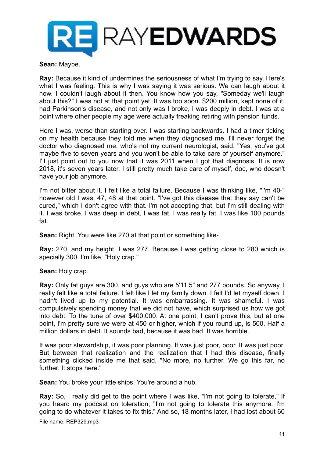

**Sean:** Maybe.

**Ray:** Because it kind of undermines the seriousness of what I'm trying to say. Here's what I was feeling. This is why I was saying it was serious. We can laugh about it now. I couldn't laugh about it then. You know how you say, "Someday we'll laugh about this?" I was not at that point yet. It was too soon. \$200 million, kept none of it, had Parkinson's disease, and not only was I broke, I was deeply in debt. I was at a point where other people my age were actually freaking retiring with pension funds.

Here I was, worse than starting over. I was starting backwards. I had a timer ticking on my health because they told me when they diagnosed me, I'll never forget the doctor who diagnosed me, who's not my current neurologist, said, "Yes, you've got maybe five to seven years and you won't be able to take care of yourself anymore." I'll just point out to you now that it was 2011 when I got that diagnosis. It is now 2018, it's seven years later. I still pretty much take care of myself, doc, who doesn't have your job anymore.

I'm not bitter about it. I felt like a total failure. Because I was thinking like, "I'm 40-" however old I was, 47, 48 at that point. "I've got this disease that they say can't be cured," which I don't agree with that. I'm not accepting that, but I'm still dealing with it. I was broke, I was deep in debt, I was fat. I was really fat. I was like 100 pounds fat.

**Sean:** Right. You were like 270 at that point or something like-

**Ray:** 270, and my height, I was 277. Because I was getting close to 280 which is specially 300. I'm like, "Holy crap."

**Sean:** Holy crap.

**Ray:** Only fat guys are 300, and guys who are 5'11.5" and 277 pounds. So anyway, I really felt like a total failure. I felt like I let my family down. I felt I'd let myself down. I hadn't lived up to my potential. It was embarrassing. It was shameful. I was compulsively spending money that we did not have, which surprised us how we got into debt. To the tune of over \$400,000. At one point, I can't prove this, but at one point, I'm pretty sure we were at 450 or higher, which if you round up, is 500. Half a million dollars in debt. It sounds bad, because it was bad. It was horrible.

It was poor stewardship, it was poor planning. It was just poor, poor. It was just poor. But between that realization and the realization that I had this disease, finally something clicked inside me that said, "No more, no further. We go this far, no further. It stops here."

**Sean:** You broke your little ships. You're around a hub.

**Ray:** So, I really did get to the point where I was like, "I'm not going to tolerate," If you heard my podcast on toleration, "I'm not going to tolerate this anymore. I'm going to do whatever it takes to fix this." And so, 18 months later, I had lost about 60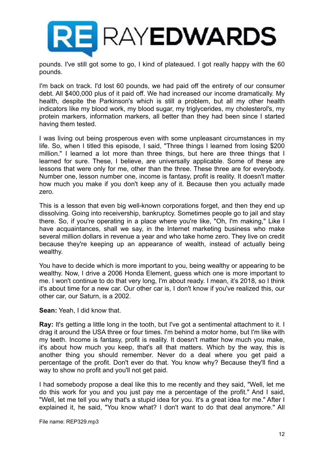

pounds. I've still got some to go, I kind of plateaued. I got really happy with the 60 pounds.

I'm back on track. I'd lost 60 pounds, we had paid off the entirety of our consumer debt. All \$400,000 plus of it paid off. We had increased our income dramatically. My health, despite the Parkinson's which is still a problem, but all my other health indicators like my blood work, my blood sugar, my triglycerides, my cholesterol's, my protein markers, information markers, all better than they had been since I started having them tested.

I was living out being prosperous even with some unpleasant circumstances in my life. So, when I titled this episode, I said, "Three things I learned from losing \$200 million." I learned a lot more than three things, but here are three things that I learned for sure. These, I believe, are universally applicable. Some of these are lessons that were only for me, other than the three. These three are for everybody. Number one, lesson number one, income is fantasy, profit is reality. It doesn't matter how much you make if you don't keep any of it. Because then you actually made zero.

This is a lesson that even big well-known corporations forget, and then they end up dissolving. Going into receivership, bankruptcy. Sometimes people go to jail and stay there. So, if you're operating in a place where you're like, "Oh, I'm making," Like I have acquaintances, shall we say, in the Internet marketing business who make several million dollars in revenue a year and who take home zero. They live on credit because they're keeping up an appearance of wealth, instead of actually being wealthy.

You have to decide which is more important to you, being wealthy or appearing to be wealthy. Now, I drive a 2006 Honda Element, guess which one is more important to me. I won't continue to do that very long, I'm about ready. I mean, it's 2018, so I think it's about time for a new car. Our other car is, I don't know if you've realized this, our other car, our Saturn, is a 2002.

## **Sean:** Yeah, I did know that.

**Ray:** It's getting a little long in the tooth, but I've got a sentimental attachment to it. I drag it around the USA three or four times. I'm behind a motor home, but I'm like with my teeth. Income is fantasy, profit is reality. It doesn't matter how much you make, it's about how much you keep, that's all that matters. Which by the way, this is another thing you should remember. Never do a deal where you get paid a percentage of the profit. Don't ever do that. You know why? Because they'll find a way to show no profit and you'll not get paid.

I had somebody propose a deal like this to me recently and they said, "Well, let me do this work for you and you just pay me a percentage of the profit." And I said, "Well, let me tell you why that's a stupid idea for you. It's a great idea for me." After I explained it, he said, "You know what? I don't want to do that deal anymore." All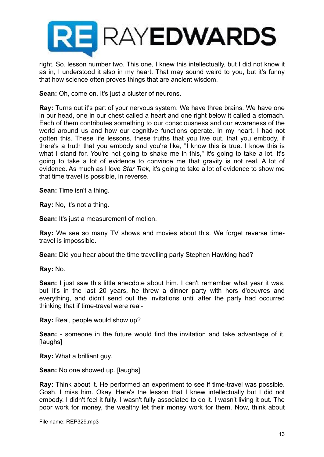

right. So, lesson number two. This one, I knew this intellectually, but I did not know it as in, I understood it also in my heart. That may sound weird to you, but it's funny that how science often proves things that are ancient wisdom.

**Sean:** Oh, come on. It's just a cluster of neurons.

**Ray:** Turns out it's part of your nervous system. We have three brains. We have one in our head, one in our chest called a heart and one right below it called a stomach. Each of them contributes something to our consciousness and our awareness of the world around us and how our cognitive functions operate. In my heart, I had not gotten this. These life lessons, these truths that you live out, that you embody, if there's a truth that you embody and you're like, "I know this is true. I know this is what I stand for. You're not going to shake me in this," it's going to take a lot. It's going to take a lot of evidence to convince me that gravity is not real. A lot of evidence. As much as I love *Star Trek*, it's going to take a lot of evidence to show me that time travel is possible, in reverse.

**Sean:** Time isn't a thing.

**Ray:** No, it's not a thing.

**Sean:** It's just a measurement of motion.

**Ray:** We see so many TV shows and movies about this. We forget reverse timetravel is impossible.

**Sean:** Did you hear about the time travelling party Stephen Hawking had?

**Ray:** No.

**Sean:** I just saw this little anecdote about him. I can't remember what year it was, but it's in the last 20 years, he threw a dinner party with hors d'oeuvres and everything, and didn't send out the invitations until after the party had occurred thinking that if time-travel were real-

**Ray:** Real, people would show up?

**Sean:** - someone in the future would find the invitation and take advantage of it. [laughs]

**Ray:** What a brilliant guy.

**Sean:** No one showed up. [laughs]

**Ray:** Think about it. He performed an experiment to see if time-travel was possible. Gosh. I miss him. Okay. Here's the lesson that I knew intellectually but I did not embody. I didn't feel it fully. I wasn't fully associated to do it. I wasn't living it out. The poor work for money, the wealthy let their money work for them. Now, think about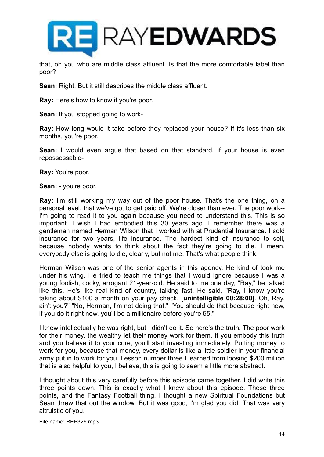

that, oh you who are middle class affluent. Is that the more comfortable label than poor?

**Sean:** Right. But it still describes the middle class affluent.

**Ray:** Here's how to know if you're poor.

**Sean:** If you stopped going to work-

**Ray:** How long would it take before they replaced your house? If it's less than six months, you're poor.

**Sean:** I would even argue that based on that standard, if your house is even repossessable-

**Ray:** You're poor.

**Sean:** - you're poor.

**Ray:** I'm still working my way out of the poor house. That's the one thing, on a personal level, that we've got to get paid off. We're closer than ever. The poor work-- I'm going to read it to you again because you need to understand this. This is so important. I wish I had embodied this 30 years ago. I remember there was a gentleman named Herman Wilson that I worked with at Prudential Insurance. I sold insurance for two years, life insurance. The hardest kind of insurance to sell, because nobody wants to think about the fact they're going to die. I mean, everybody else is going to die, clearly, but not me. That's what people think.

Herman Wilson was one of the senior agents in this agency. He kind of took me under his wing. He tried to teach me things that I would ignore because I was a young foolish, cocky, arrogant 21-year-old. He said to me one day, "Ray," he talked like this. He's like real kind of country, talking fast. He said, "Ray, I know you're taking about \$100 a month on your pay check. **[unintelligible 00:28:00]**. Oh, Ray, ain't you?" "No, Herman, I'm not doing that." "You should do that because right now, if you do it right now, you'll be a millionaire before you're 55."

I knew intellectually he was right, but I didn't do it. So here's the truth. The poor work for their money, the wealthy let their money work for them. If you embody this truth and you believe it to your core, you'll start investing immediately. Putting money to work for you, because that money, every dollar is like a little soldier in your financial army put in to work for you. Lesson number three I learned from loosing \$200 million that is also helpful to you, I believe, this is going to seem a little more abstract.

I thought about this very carefully before this episode came together. I did write this three points down. This is exactly what I knew about this episode. These three points, and the Fantasy Football thing. I thought a new Spiritual Foundations but Sean threw that out the window. But it was good, I'm glad you did. That was very altruistic of you.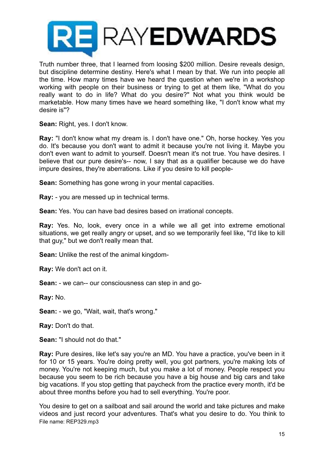

Truth number three, that I learned from loosing \$200 million. Desire reveals design, but discipline determine destiny. Here's what I mean by that. We run into people all the time. How many times have we heard the question when we're in a workshop working with people on their business or trying to get at them like, "What do you really want to do in life? What do you desire?" Not what you think would be marketable. How many times have we heard something like, "I don't know what my desire is"?

**Sean:** Right, yes. I don't know.

**Ray:** "I don't know what my dream is. I don't have one." Oh, horse hockey. Yes you do. It's because you don't want to admit it because you're not living it. Maybe you don't even want to admit to yourself. Doesn't mean it's not true. You have desires. I believe that our pure desire's-- now, I say that as a qualifier because we do have impure desires, they're aberrations. Like if you desire to kill people-

**Sean:** Something has gone wrong in your mental capacities.

**Ray:** - you are messed up in technical terms.

**Sean:** Yes. You can have bad desires based on irrational concepts.

**Ray:** Yes. No, look, every once in a while we all get into extreme emotional situations, we get really angry or upset, and so we temporarily feel like, "I'd like to kill that guy," but we don't really mean that.

**Sean:** Unlike the rest of the animal kingdom-

**Ray:** We don't act on it.

**Sean:** - we can-- our consciousness can step in and go-

**Ray:** No.

**Sean:** - we go, "Wait, wait, that's wrong."

**Ray:** Don't do that.

**Sean:** "I should not do that."

**Ray:** Pure desires, like let's say you're an MD. You have a practice, you've been in it for 10 or 15 years. You're doing pretty well, you got partners, you're making lots of money. You're not keeping much, but you make a lot of money. People respect you because you seem to be rich because you have a big house and big cars and take big vacations. If you stop getting that paycheck from the practice every month, it'd be about three months before you had to sell everything. You're poor.

You desire to get on a sailboat and sail around the world and take pictures and make videos and just record your adventures. That's what you desire to do. You think to File name: REP329.mp3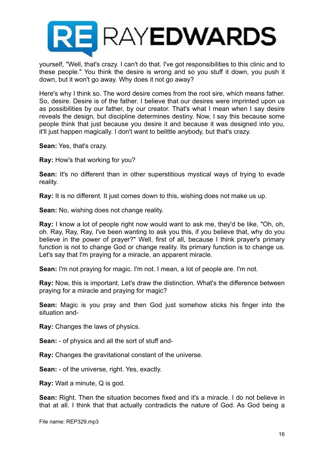

yourself, "Well, that's crazy. I can't do that. I've got responsibilities to this clinic and to these people." You think the desire is wrong and so you stuff it down, you push it down, but it won't go away. Why does it not go away?

Here's why I think so. The word desire comes from the root sire, which means father. So, desire. Desire is of the father. I believe that our desires were imprinted upon us as possibilities by our father, by our creator. That's what I mean when I say desire reveals the design, but discipline determines destiny. Now, I say this because some people think that just because you desire it and because it was designed into you, it'll just happen magically. I don't want to belittle anybody, but that's crazy.

**Sean:** Yes, that's crazy.

**Ray:** How's that working for you?

**Sean:** It's no different than in other superstitious mystical ways of trying to evade reality.

**Ray:** It is no different. It just comes down to this, wishing does not make us up.

**Sean:** No, wishing does not change reality.

**Ray:** I know a lot of people right now would want to ask me, they'd be like, "Oh, oh, oh. Ray, Ray, Ray, I've been wanting to ask you this, if you believe that, why do you believe in the power of prayer?" Well, first of all, because I think prayer's primary function is not to change God or change reality. Its primary function is to change us. Let's say that I'm praying for a miracle, an apparent miracle.

**Sean:** I'm not praying for magic. I'm not. I mean, a lot of people are. I'm not.

**Ray:** Now, this is important. Let's draw the distinction. What's the difference between praying for a miracle and praying for magic?

**Sean:** Magic is you pray and then God just somehow sticks his finger into the situation and-

**Ray:** Changes the laws of physics.

**Sean:** - of physics and all the sort of stuff and-

**Ray:** Changes the gravitational constant of the universe.

**Sean:** - of the universe, right. Yes, exactly.

**Ray:** Wait a minute, Q is god.

**Sean:** Right. Then the situation becomes fixed and it's a miracle. I do not believe in that at all. I think that that actually contradicts the nature of God. As God being a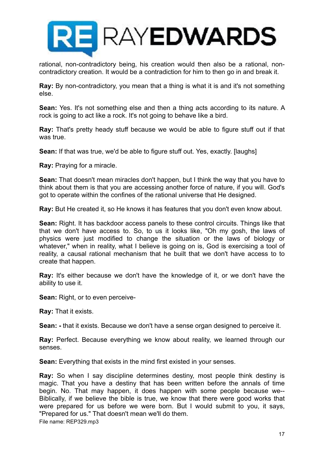

rational, non-contradictory being, his creation would then also be a rational, noncontradictory creation. It would be a contradiction for him to then go in and break it.

**Ray:** By non-contradictory, you mean that a thing is what it is and it's not something else.

**Sean:** Yes. It's not something else and then a thing acts according to its nature. A rock is going to act like a rock. It's not going to behave like a bird.

**Ray:** That's pretty heady stuff because we would be able to figure stuff out if that was true.

**Sean:** If that was true, we'd be able to figure stuff out. Yes, exactly. [laughs]

**Ray:** Praying for a miracle.

**Sean:** That doesn't mean miracles don't happen, but I think the way that you have to think about them is that you are accessing another force of nature, if you will. God's got to operate within the confines of the rational universe that He designed.

**Ray:** But He created it, so He knows it has features that you don't even know about.

**Sean:** Right. It has backdoor access panels to these control circuits. Things like that that we don't have access to. So, to us it looks like, "Oh my gosh, the laws of physics were just modified to change the situation or the laws of biology or whatever," when in reality, what I believe is going on is, God is exercising a tool of reality, a causal rational mechanism that he built that we don't have access to to create that happen.

**Ray:** It's either because we don't have the knowledge of it, or we don't have the ability to use it.

**Sean:** Right, or to even perceive-

**Ray:** That it exists.

**Sean: -** that it exists. Because we don't have a sense organ designed to perceive it.

**Ray:** Perfect. Because everything we know about reality, we learned through our senses.

**Sean:** Everything that exists in the mind first existed in your senses.

**Ray:** So when I say discipline determines destiny, most people think destiny is magic. That you have a destiny that has been written before the annals of time begin. No. That may happen, it does happen with some people because we-- Biblically, if we believe the bible is true, we know that there were good works that were prepared for us before we were born. But I would submit to you, it says, "Prepared for us." That doesn't mean we'll do them.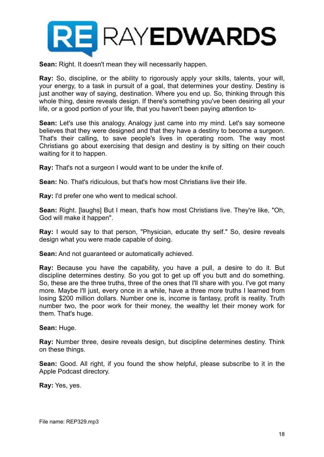

**Sean:** Right. It doesn't mean they will necessarily happen.

**Ray:** So, discipline, or the ability to rigorously apply your skills, talents, your will, your energy, to a task in pursuit of a goal, that determines your destiny. Destiny is just another way of saying, destination. Where you end up. So, thinking through this whole thing, desire reveals design. If there's something you've been desiring all your life, or a good portion of your life, that you haven't been paying attention to-

**Sean:** Let's use this analogy. Analogy just came into my mind. Let's say someone believes that they were designed and that they have a destiny to become a surgeon. That's their calling, to save people's lives in operating room. The way most Christians go about exercising that design and destiny is by sitting on their couch waiting for it to happen.

**Ray:** That's not a surgeon I would want to be under the knife of.

**Sean:** No. That's ridiculous, but that's how most Christians live their life.

**Ray:** I'd prefer one who went to medical school.

**Sean:** Right. [laughs] But I mean, that's how most Christians live. They're like, "Oh, God will make it happen".

**Ray:** I would say to that person, "Physician, educate thy self." So, desire reveals design what you were made capable of doing.

**Sean:** And not guaranteed or automatically achieved.

**Ray:** Because you have the capability, you have a pull, a desire to do it. But discipline determines destiny. So you got to get up off you butt and do something. So, these are the three truths, three of the ones that I'll share with you. I've got many more. Maybe I'll just, every once in a while, have a three more truths I learned from losing \$200 million dollars. Number one is, income is fantasy, profit is reality. Truth number two, the poor work for their money, the wealthy let their money work for them. That's huge.

**Sean:** Huge.

**Ray:** Number three, desire reveals design, but discipline determines destiny. Think on these things.

**Sean:** Good. All right, if you found the show helpful, please subscribe to it in the Apple Podcast directory.

**Ray:** Yes, yes.